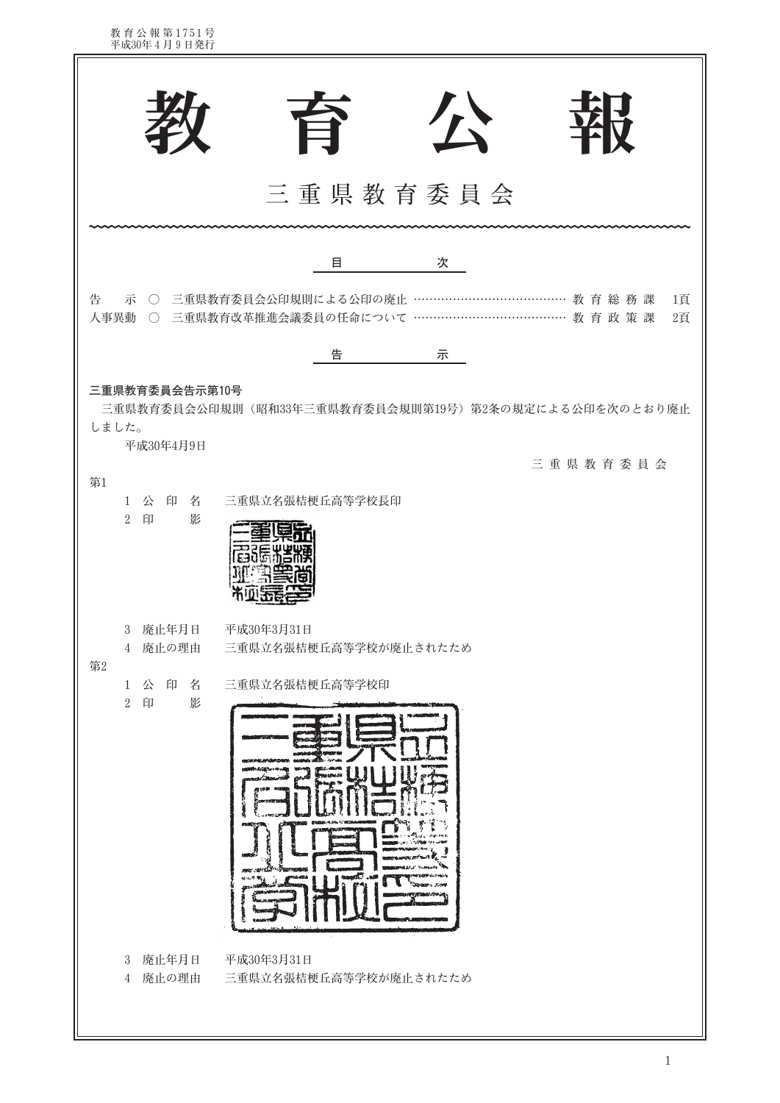教育公報第1751号<br>平成30年4月9日発行